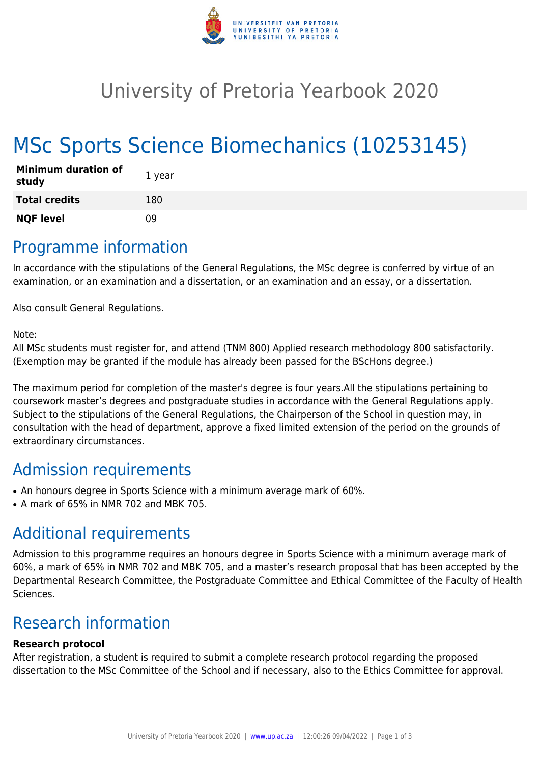

## University of Pretoria Yearbook 2020

# MSc Sports Science Biomechanics (10253145)

| <b>Minimum duration of</b><br>study | 1 year |
|-------------------------------------|--------|
| <b>Total credits</b>                | 180    |
| <b>NQF level</b>                    | n۹     |

### Programme information

In accordance with the stipulations of the General Regulations, the MSc degree is conferred by virtue of an examination, or an examination and a dissertation, or an examination and an essay, or a dissertation.

Also consult General Regulations.

Note:

All MSc students must register for, and attend (TNM 800) Applied research methodology 800 satisfactorily. (Exemption may be granted if the module has already been passed for the BScHons degree.)

The maximum period for completion of the master's degree is four years.All the stipulations pertaining to coursework master's degrees and postgraduate studies in accordance with the General Regulations apply. Subject to the stipulations of the General Regulations, the Chairperson of the School in question may, in consultation with the head of department, approve a fixed limited extension of the period on the grounds of extraordinary circumstances.

### Admission requirements

- An honours degree in Sports Science with a minimum average mark of 60%.
- $\bullet$  A mark of 65% in NMR 702 and MBK 705.

### Additional requirements

Admission to this programme requires an honours degree in Sports Science with a minimum average mark of 60%, a mark of 65% in NMR 702 and MBK 705, and a master's research proposal that has been accepted by the Departmental Research Committee, the Postgraduate Committee and Ethical Committee of the Faculty of Health Sciences.

### Research information

#### **Research protocol**

After registration, a student is required to submit a complete research protocol regarding the proposed dissertation to the MSc Committee of the School and if necessary, also to the Ethics Committee for approval.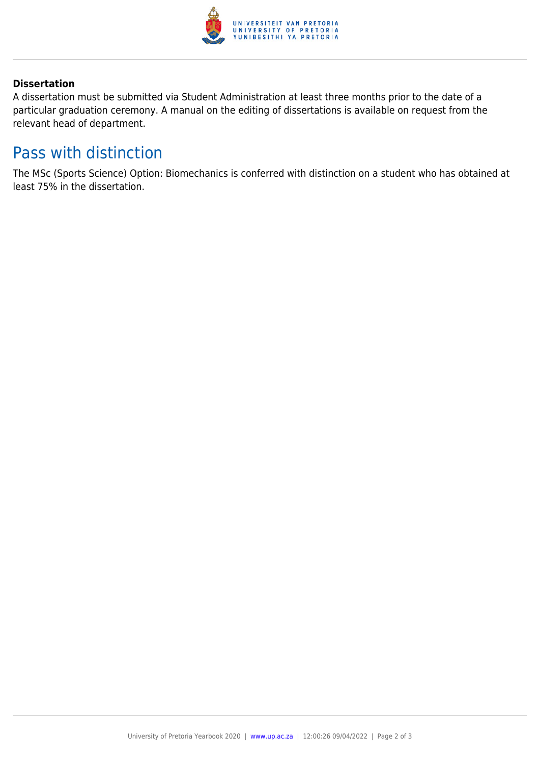

#### **Dissertation**

A dissertation must be submitted via Student Administration at least three months prior to the date of a particular graduation ceremony. A manual on the editing of dissertations is available on request from the relevant head of department.

### Pass with distinction

The MSc (Sports Science) Option: Biomechanics is conferred with distinction on a student who has obtained at least 75% in the dissertation.